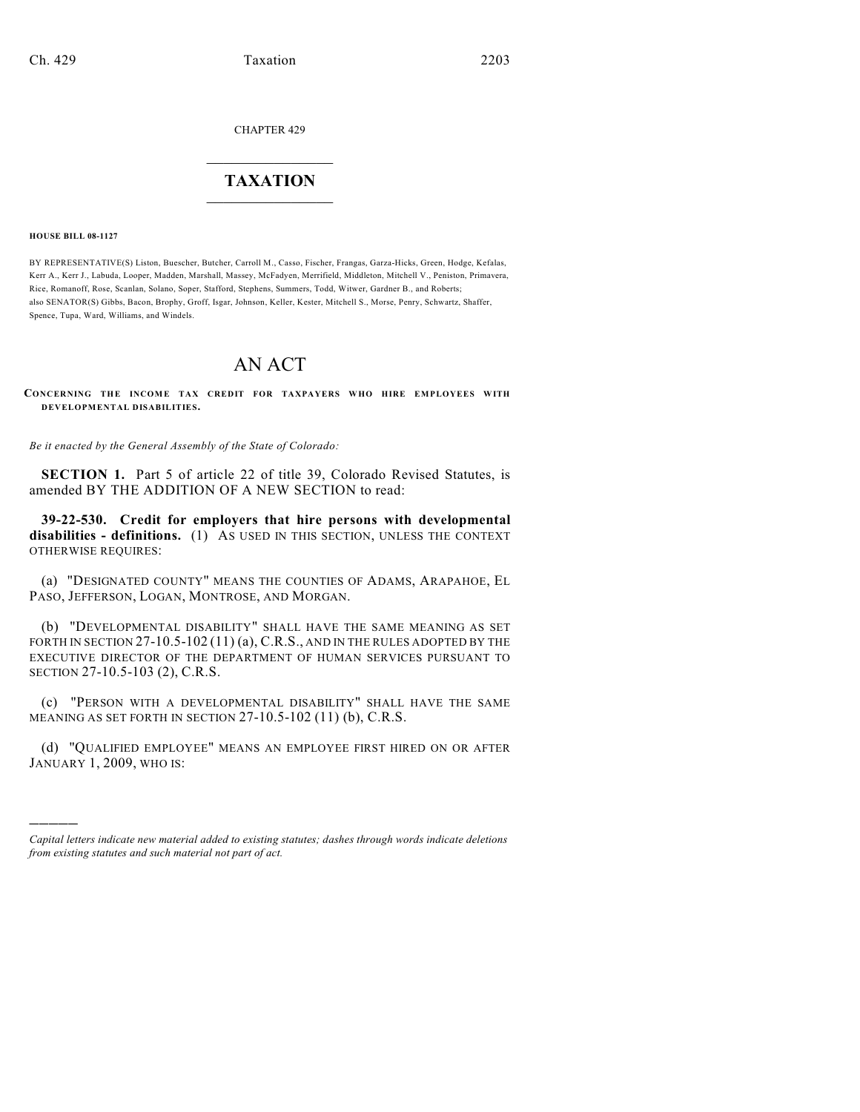CHAPTER 429

## $\mathcal{L}_\text{max}$  . The set of the set of the set of the set of the set of the set of the set of the set of the set of the set of the set of the set of the set of the set of the set of the set of the set of the set of the set **TAXATION**  $\_$

**HOUSE BILL 08-1127**

)))))

BY REPRESENTATIVE(S) Liston, Buescher, Butcher, Carroll M., Casso, Fischer, Frangas, Garza-Hicks, Green, Hodge, Kefalas, Kerr A., Kerr J., Labuda, Looper, Madden, Marshall, Massey, McFadyen, Merrifield, Middleton, Mitchell V., Peniston, Primavera, Rice, Romanoff, Rose, Scanlan, Solano, Soper, Stafford, Stephens, Summers, Todd, Witwer, Gardner B., and Roberts; also SENATOR(S) Gibbs, Bacon, Brophy, Groff, Isgar, Johnson, Keller, Kester, Mitchell S., Morse, Penry, Schwartz, Shaffer, Spence, Tupa, Ward, Williams, and Windels.

## AN ACT

**CONCERNING THE INCOME TAX CREDIT FOR TAXPAYERS WHO HIRE EMPLOYEES WITH DEVELOPMENTAL DISABILITIES.**

*Be it enacted by the General Assembly of the State of Colorado:*

**SECTION 1.** Part 5 of article 22 of title 39, Colorado Revised Statutes, is amended BY THE ADDITION OF A NEW SECTION to read:

**39-22-530. Credit for employers that hire persons with developmental disabilities - definitions.** (1) AS USED IN THIS SECTION, UNLESS THE CONTEXT OTHERWISE REQUIRES:

(a) "DESIGNATED COUNTY" MEANS THE COUNTIES OF ADAMS, ARAPAHOE, EL PASO, JEFFERSON, LOGAN, MONTROSE, AND MORGAN.

(b) "DEVELOPMENTAL DISABILITY" SHALL HAVE THE SAME MEANING AS SET FORTH IN SECTION 27-10.5-102 (11) (a), C.R.S., AND IN THE RULES ADOPTED BY THE EXECUTIVE DIRECTOR OF THE DEPARTMENT OF HUMAN SERVICES PURSUANT TO SECTION 27-10.5-103 (2), C.R.S.

(c) "PERSON WITH A DEVELOPMENTAL DISABILITY" SHALL HAVE THE SAME MEANING AS SET FORTH IN SECTION 27-10.5-102 (11) (b), C.R.S.

(d) "QUALIFIED EMPLOYEE" MEANS AN EMPLOYEE FIRST HIRED ON OR AFTER JANUARY 1, 2009, WHO IS:

*Capital letters indicate new material added to existing statutes; dashes through words indicate deletions from existing statutes and such material not part of act.*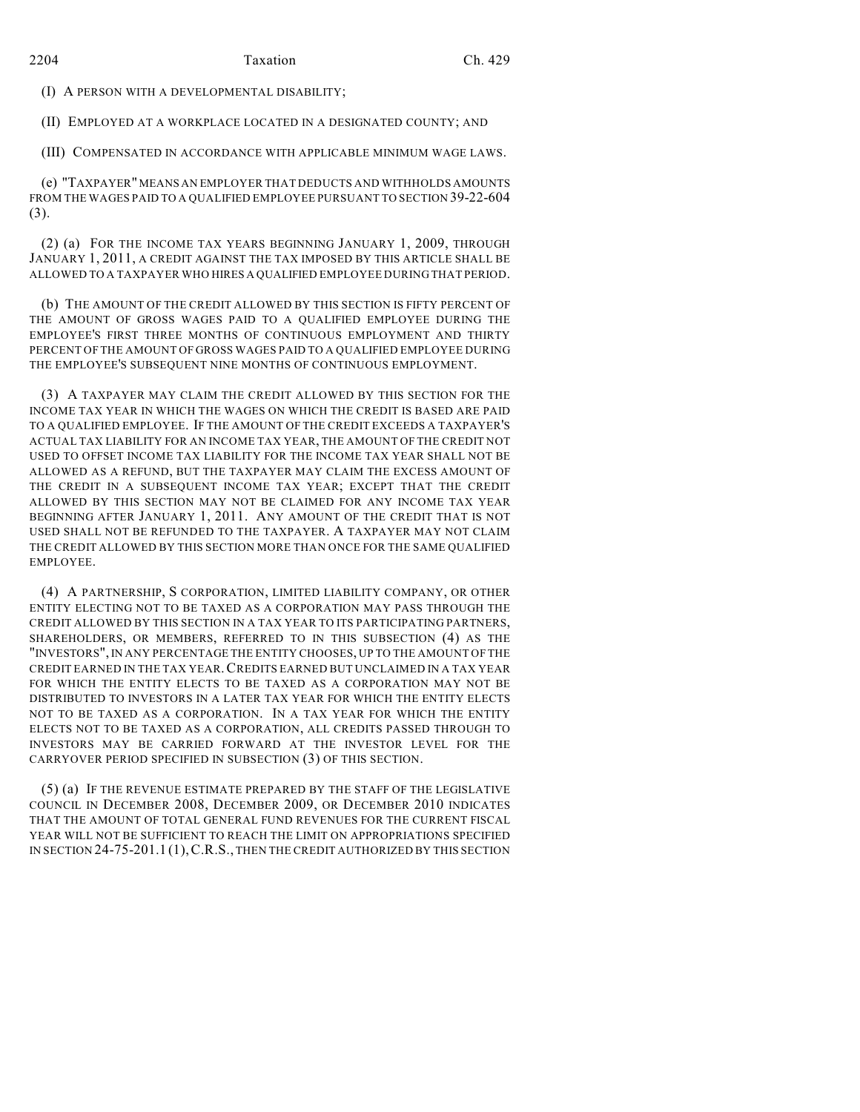(I) A PERSON WITH A DEVELOPMENTAL DISABILITY;

(II) EMPLOYED AT A WORKPLACE LOCATED IN A DESIGNATED COUNTY; AND

(III) COMPENSATED IN ACCORDANCE WITH APPLICABLE MINIMUM WAGE LAWS.

(e) "TAXPAYER" MEANS AN EMPLOYER THAT DEDUCTS AND WITHHOLDS AMOUNTS FROM THE WAGES PAID TO A QUALIFIED EMPLOYEE PURSUANT TO SECTION 39-22-604 (3).

(2) (a) FOR THE INCOME TAX YEARS BEGINNING JANUARY 1, 2009, THROUGH JANUARY 1, 2011, A CREDIT AGAINST THE TAX IMPOSED BY THIS ARTICLE SHALL BE ALLOWED TO A TAXPAYER WHO HIRES A QUALIFIED EMPLOYEE DURING THAT PERIOD.

(b) THE AMOUNT OF THE CREDIT ALLOWED BY THIS SECTION IS FIFTY PERCENT OF THE AMOUNT OF GROSS WAGES PAID TO A QUALIFIED EMPLOYEE DURING THE EMPLOYEE'S FIRST THREE MONTHS OF CONTINUOUS EMPLOYMENT AND THIRTY PERCENT OF THE AMOUNT OF GROSS WAGES PAID TO A QUALIFIED EMPLOYEE DURING THE EMPLOYEE'S SUBSEQUENT NINE MONTHS OF CONTINUOUS EMPLOYMENT.

(3) A TAXPAYER MAY CLAIM THE CREDIT ALLOWED BY THIS SECTION FOR THE INCOME TAX YEAR IN WHICH THE WAGES ON WHICH THE CREDIT IS BASED ARE PAID TO A QUALIFIED EMPLOYEE. IF THE AMOUNT OF THE CREDIT EXCEEDS A TAXPAYER'S ACTUAL TAX LIABILITY FOR AN INCOME TAX YEAR, THE AMOUNT OF THE CREDIT NOT USED TO OFFSET INCOME TAX LIABILITY FOR THE INCOME TAX YEAR SHALL NOT BE ALLOWED AS A REFUND, BUT THE TAXPAYER MAY CLAIM THE EXCESS AMOUNT OF THE CREDIT IN A SUBSEQUENT INCOME TAX YEAR; EXCEPT THAT THE CREDIT ALLOWED BY THIS SECTION MAY NOT BE CLAIMED FOR ANY INCOME TAX YEAR BEGINNING AFTER JANUARY 1, 2011. ANY AMOUNT OF THE CREDIT THAT IS NOT USED SHALL NOT BE REFUNDED TO THE TAXPAYER. A TAXPAYER MAY NOT CLAIM THE CREDIT ALLOWED BY THIS SECTION MORE THAN ONCE FOR THE SAME QUALIFIED EMPLOYEE.

(4) A PARTNERSHIP, S CORPORATION, LIMITED LIABILITY COMPANY, OR OTHER ENTITY ELECTING NOT TO BE TAXED AS A CORPORATION MAY PASS THROUGH THE CREDIT ALLOWED BY THIS SECTION IN A TAX YEAR TO ITS PARTICIPATING PARTNERS, SHAREHOLDERS, OR MEMBERS, REFERRED TO IN THIS SUBSECTION (4) AS THE "INVESTORS", IN ANY PERCENTAGE THE ENTITY CHOOSES, UP TO THE AMOUNT OF THE CREDIT EARNED IN THE TAX YEAR.CREDITS EARNED BUT UNCLAIMED IN A TAX YEAR FOR WHICH THE ENTITY ELECTS TO BE TAXED AS A CORPORATION MAY NOT BE DISTRIBUTED TO INVESTORS IN A LATER TAX YEAR FOR WHICH THE ENTITY ELECTS NOT TO BE TAXED AS A CORPORATION. IN A TAX YEAR FOR WHICH THE ENTITY ELECTS NOT TO BE TAXED AS A CORPORATION, ALL CREDITS PASSED THROUGH TO INVESTORS MAY BE CARRIED FORWARD AT THE INVESTOR LEVEL FOR THE CARRYOVER PERIOD SPECIFIED IN SUBSECTION (3) OF THIS SECTION.

(5) (a) IF THE REVENUE ESTIMATE PREPARED BY THE STAFF OF THE LEGISLATIVE COUNCIL IN DECEMBER 2008, DECEMBER 2009, OR DECEMBER 2010 INDICATES THAT THE AMOUNT OF TOTAL GENERAL FUND REVENUES FOR THE CURRENT FISCAL YEAR WILL NOT BE SUFFICIENT TO REACH THE LIMIT ON APPROPRIATIONS SPECIFIED IN SECTION 24-75-201.1 (1),C.R.S., THEN THE CREDIT AUTHORIZED BY THIS SECTION